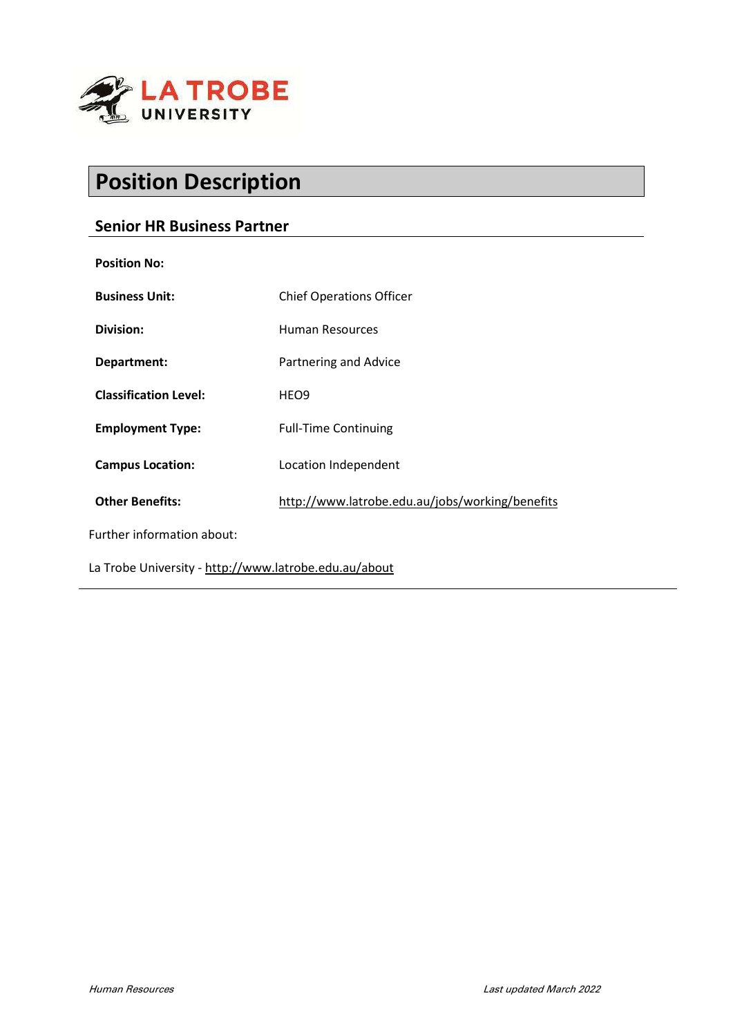

# Position Description

# Senior HR Business Partner

| <b>Position No:</b>                                   |                                                 |
|-------------------------------------------------------|-------------------------------------------------|
| <b>Business Unit:</b>                                 | <b>Chief Operations Officer</b>                 |
| Division:                                             | <b>Human Resources</b>                          |
| Department:                                           | Partnering and Advice                           |
| <b>Classification Level:</b>                          | HEO <sub>9</sub>                                |
| <b>Employment Type:</b>                               | <b>Full-Time Continuing</b>                     |
| <b>Campus Location:</b>                               | Location Independent                            |
| <b>Other Benefits:</b>                                | http://www.latrobe.edu.au/jobs/working/benefits |
| Further information about:                            |                                                 |
| La Trobe University - http://www.latrobe.edu.au/about |                                                 |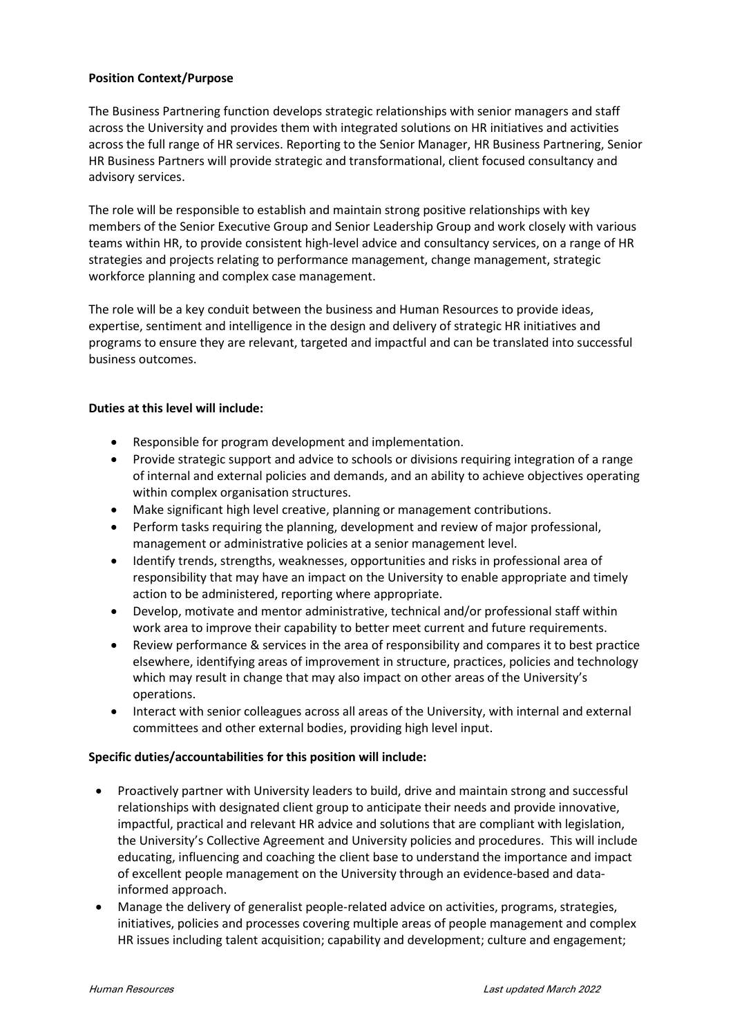## Position Context/Purpose

The Business Partnering function develops strategic relationships with senior managers and staff across the University and provides them with integrated solutions on HR initiatives and activities across the full range of HR services. Reporting to the Senior Manager, HR Business Partnering, Senior HR Business Partners will provide strategic and transformational, client focused consultancy and advisory services.

The role will be responsible to establish and maintain strong positive relationships with key members of the Senior Executive Group and Senior Leadership Group and work closely with various teams within HR, to provide consistent high-level advice and consultancy services, on a range of HR strategies and projects relating to performance management, change management, strategic workforce planning and complex case management.

The role will be a key conduit between the business and Human Resources to provide ideas, expertise, sentiment and intelligence in the design and delivery of strategic HR initiatives and programs to ensure they are relevant, targeted and impactful and can be translated into successful business outcomes.

## Duties at this level will include:

- Responsible for program development and implementation.
- Provide strategic support and advice to schools or divisions requiring integration of a range of internal and external policies and demands, and an ability to achieve objectives operating within complex organisation structures.
- Make significant high level creative, planning or management contributions.
- Perform tasks requiring the planning, development and review of major professional, management or administrative policies at a senior management level.
- Identify trends, strengths, weaknesses, opportunities and risks in professional area of responsibility that may have an impact on the University to enable appropriate and timely action to be administered, reporting where appropriate.
- Develop, motivate and mentor administrative, technical and/or professional staff within work area to improve their capability to better meet current and future requirements.
- Review performance & services in the area of responsibility and compares it to best practice elsewhere, identifying areas of improvement in structure, practices, policies and technology which may result in change that may also impact on other areas of the University's operations.
- Interact with senior colleagues across all areas of the University, with internal and external committees and other external bodies, providing high level input.

#### Specific duties/accountabilities for this position will include:

- Proactively partner with University leaders to build, drive and maintain strong and successful relationships with designated client group to anticipate their needs and provide innovative, impactful, practical and relevant HR advice and solutions that are compliant with legislation, the University's Collective Agreement and University policies and procedures. This will include educating, influencing and coaching the client base to understand the importance and impact of excellent people management on the University through an evidence-based and datainformed approach.
- Manage the delivery of generalist people-related advice on activities, programs, strategies, initiatives, policies and processes covering multiple areas of people management and complex HR issues including talent acquisition; capability and development; culture and engagement;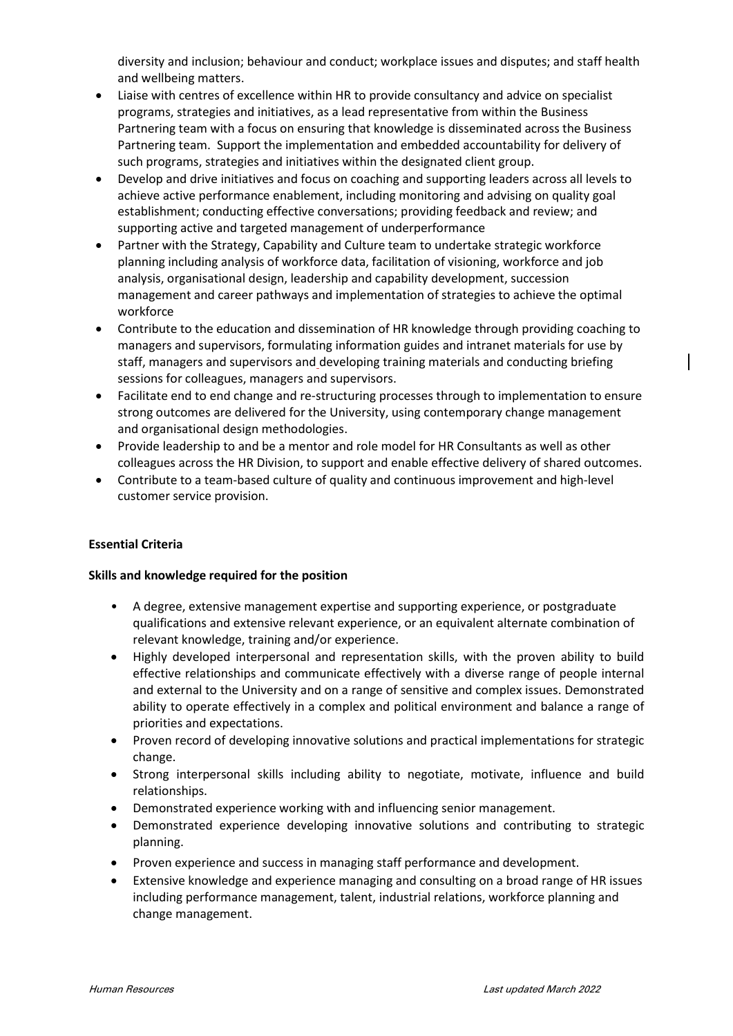diversity and inclusion; behaviour and conduct; workplace issues and disputes; and staff health and wellbeing matters.

- Liaise with centres of excellence within HR to provide consultancy and advice on specialist programs, strategies and initiatives, as a lead representative from within the Business Partnering team with a focus on ensuring that knowledge is disseminated across the Business Partnering team. Support the implementation and embedded accountability for delivery of such programs, strategies and initiatives within the designated client group.
- Develop and drive initiatives and focus on coaching and supporting leaders across all levels to achieve active performance enablement, including monitoring and advising on quality goal establishment; conducting effective conversations; providing feedback and review; and supporting active and targeted management of underperformance
- Partner with the Strategy, Capability and Culture team to undertake strategic workforce planning including analysis of workforce data, facilitation of visioning, workforce and job analysis, organisational design, leadership and capability development, succession management and career pathways and implementation of strategies to achieve the optimal workforce
- Contribute to the education and dissemination of HR knowledge through providing coaching to managers and supervisors, formulating information guides and intranet materials for use by staff, managers and supervisors and developing training materials and conducting briefing sessions for colleagues, managers and supervisors.
- Facilitate end to end change and re-structuring processes through to implementation to ensure strong outcomes are delivered for the University, using contemporary change management and organisational design methodologies.
- Provide leadership to and be a mentor and role model for HR Consultants as well as other colleagues across the HR Division, to support and enable effective delivery of shared outcomes.
- Contribute to a team-based culture of quality and continuous improvement and high-level customer service provision.

# Essential Criteria

#### Skills and knowledge required for the position

- A degree, extensive management expertise and supporting experience, or postgraduate qualifications and extensive relevant experience, or an equivalent alternate combination of relevant knowledge, training and/or experience.
- Highly developed interpersonal and representation skills, with the proven ability to build effective relationships and communicate effectively with a diverse range of people internal and external to the University and on a range of sensitive and complex issues. Demonstrated ability to operate effectively in a complex and political environment and balance a range of priorities and expectations.
- Proven record of developing innovative solutions and practical implementations for strategic change.
- Strong interpersonal skills including ability to negotiate, motivate, influence and build relationships.
- Demonstrated experience working with and influencing senior management.
- Demonstrated experience developing innovative solutions and contributing to strategic planning.
- Proven experience and success in managing staff performance and development.
- Extensive knowledge and experience managing and consulting on a broad range of HR issues including performance management, talent, industrial relations, workforce planning and change management.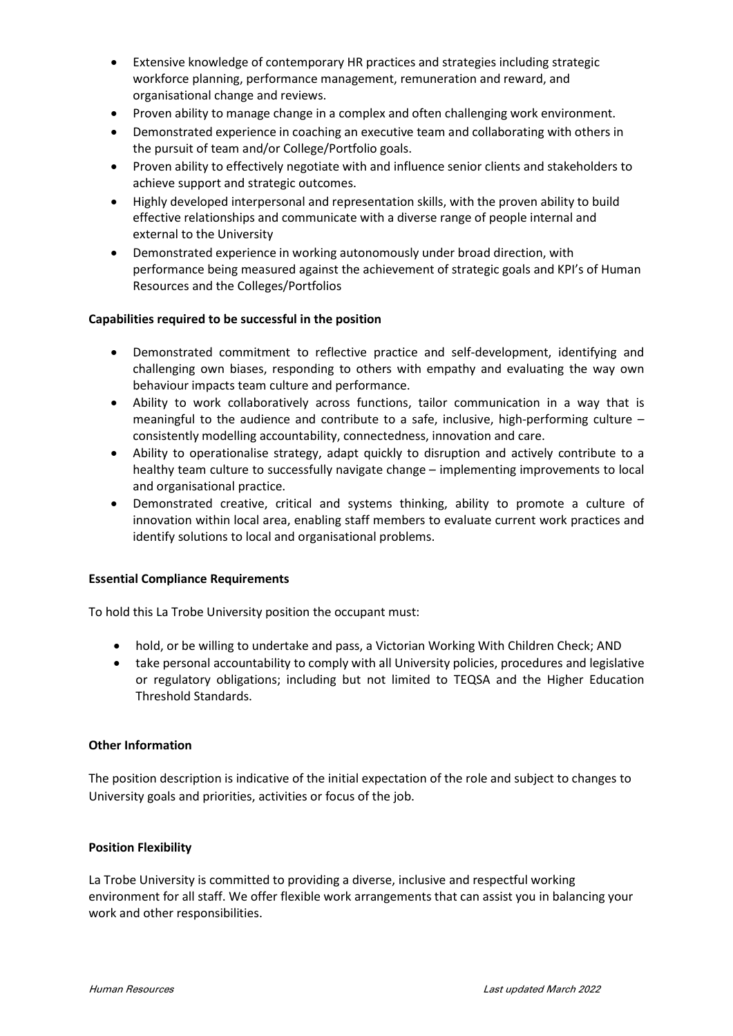- Extensive knowledge of contemporary HR practices and strategies including strategic workforce planning, performance management, remuneration and reward, and organisational change and reviews.
- Proven ability to manage change in a complex and often challenging work environment.
- Demonstrated experience in coaching an executive team and collaborating with others in the pursuit of team and/or College/Portfolio goals.
- Proven ability to effectively negotiate with and influence senior clients and stakeholders to achieve support and strategic outcomes.
- Highly developed interpersonal and representation skills, with the proven ability to build effective relationships and communicate with a diverse range of people internal and external to the University
- Demonstrated experience in working autonomously under broad direction, with performance being measured against the achievement of strategic goals and KPI's of Human Resources and the Colleges/Portfolios

#### Capabilities required to be successful in the position

- Demonstrated commitment to reflective practice and self-development, identifying and challenging own biases, responding to others with empathy and evaluating the way own behaviour impacts team culture and performance.
- Ability to work collaboratively across functions, tailor communication in a way that is meaningful to the audience and contribute to a safe, inclusive, high-performing culture – consistently modelling accountability, connectedness, innovation and care.
- Ability to operationalise strategy, adapt quickly to disruption and actively contribute to a healthy team culture to successfully navigate change – implementing improvements to local and organisational practice.
- Demonstrated creative, critical and systems thinking, ability to promote a culture of innovation within local area, enabling staff members to evaluate current work practices and identify solutions to local and organisational problems.

#### Essential Compliance Requirements

To hold this La Trobe University position the occupant must:

- hold, or be willing to undertake and pass, a Victorian Working With Children Check; AND
- take personal accountability to comply with all University policies, procedures and legislative or regulatory obligations; including but not limited to TEQSA and the Higher Education Threshold Standards.

#### Other Information

The position description is indicative of the initial expectation of the role and subject to changes to University goals and priorities, activities or focus of the job.

#### Position Flexibility

La Trobe University is committed to providing a diverse, inclusive and respectful working environment for all staff. We offer flexible work arrangements that can assist you in balancing your work and other responsibilities.